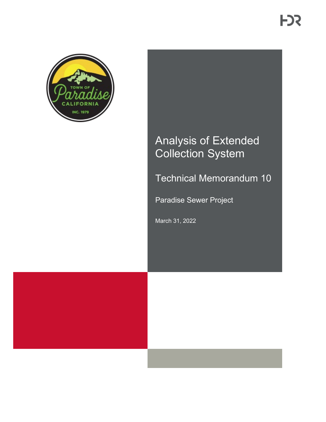

# Analysis of Extended Collection System

Technical Memorandum 10

Paradise Sewer Project

March 31, 2022

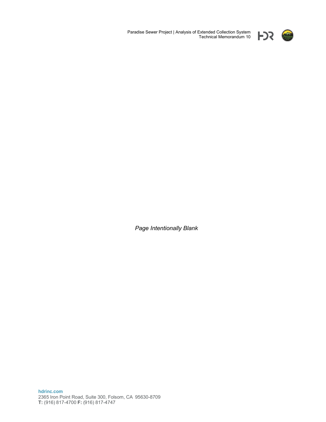

Paradise Sewer Project | Analysis of Extended Collection System Technical Memorandum 10

*Page Intentionally Blank*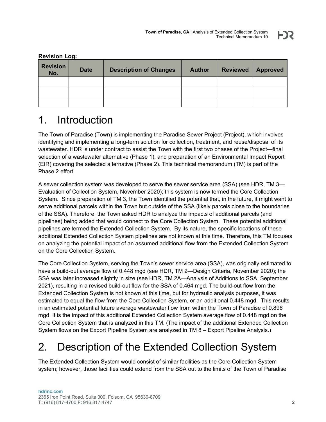| <b>Revision</b><br>No. | <b>Date</b> | <b>Description of Changes</b> | <b>Author</b> | <b>Reviewed</b> | <b>Approved</b> |
|------------------------|-------------|-------------------------------|---------------|-----------------|-----------------|
|                        |             |                               |               |                 |                 |
|                        |             |                               |               |                 |                 |
|                        |             |                               |               |                 |                 |

#### **Revision Log:**

### 1. Introduction

The Town of Paradise (Town) is implementing the Paradise Sewer Project (Project), which involves identifying and implementing a long-term solution for collection, treatment, and reuse/disposal of its wastewater. HDR is under contract to assist the Town with the first two phases of the Project—final selection of a wastewater alternative (Phase 1), and preparation of an Environmental Impact Report (EIR) covering the selected alternative (Phase 2). This technical memorandum (TM) is part of the Phase 2 effort.

A sewer collection system was developed to serve the sewer service area (SSA) (see HDR, TM 3— Evaluation of Collection System, November 2020); this system is now termed the Core Collection System. Since preparation of TM 3, the Town identified the potential that, in the future, it might want to serve additional parcels within the Town but outside of the SSA (likely parcels close to the boundaries of the SSA). Therefore, the Town asked HDR to analyze the impacts of additional parcels (and pipelines) being added that would connect to the Core Collection System. These potential additional pipelines are termed the Extended Collection System. By its nature, the specific locations of these additional Extended Collection System pipelines are not known at this time. Therefore, this TM focuses on analyzing the potential impact of an assumed additional flow from the Extended Collection System on the Core Collection System.

The Core Collection System, serving the Town's sewer service area (SSA), was originally estimated to have a build-out average flow of 0.448 mgd (see HDR, TM 2—Design Criteria, November 2020); the SSA was later increased slightly in size (see HDR, TM 2A—Analysis of Additions to SSA, September 2021), resulting in a revised build-out flow for the SSA of 0.464 mgd. The build-out flow from the Extended Collection System is not known at this time, but for hydraulic analysis purposes, it was estimated to equal the flow from the Core Collection System, or an additional 0.448 mgd. This results in an estimated potential future average wastewater flow from within the Town of Paradise of 0.896 mgd. It is the impact of this additional Extended Collection System average flow of 0.448 mgd on the Core Collection System that is analyzed in this TM. (The impact of the additional Extended Collection System flows on the Export Pipeline System are analyzed in TM 8 – Export Pipeline Analysis.)

## 2. Description of the Extended Collection System

The Extended Collection System would consist of similar facilities as the Core Collection System system; however, those facilities could extend from the SSA out to the limits of the Town of Paradise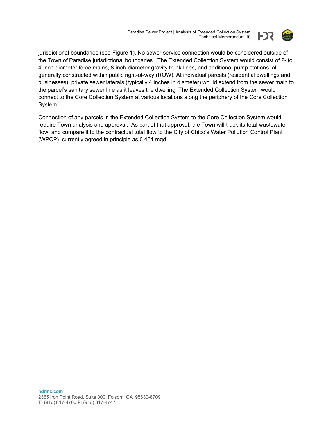Paradise Sewer Project | Analysis of Extended Collection System Technical Memorandum 10



jurisdictional boundaries (see Figure 1). No sewer service connection would be considered outside of the Town of Paradise jurisdictional boundaries. The Extended Collection System would consist of 2- to 4-inch-diameter force mains, 8-inch-diameter gravity trunk lines, and additional pump stations, all generally constructed within public right-of-way (ROW). At individual parcels (residential dwellings and businesses), private sewer laterals (typically 4 inches in diameter) would extend from the sewer main to the parcel's sanitary sewer line as it leaves the dwelling. The Extended Collection System would connect to the Core Collection System at various locations along the periphery of the Core Collection System.

Connection of any parcels in the Extended Collection System to the Core Collection System would require Town analysis and approval. As part of that approval, the Town will track its total wastewater flow, and compare it to the contractual total flow to the City of Chico's Water Pollution Control Plant (WPCP), currently agreed in principle as 0.464 mgd.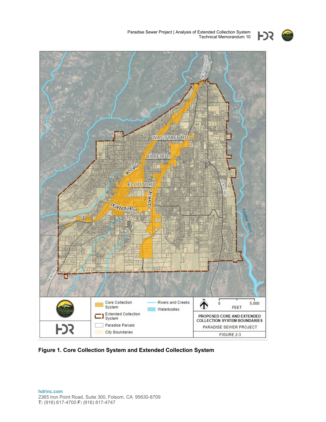



**Figure 1. Core Collection System and Extended Collection System**

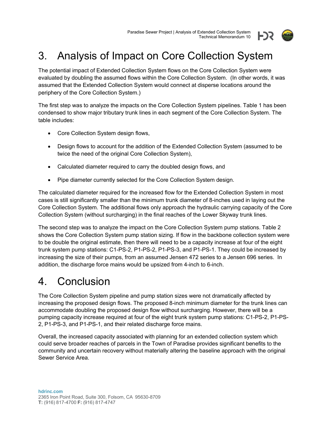

# 3. Analysis of Impact on Core Collection System

The potential impact of Extended Collection System flows on the Core Collection System were evaluated by doubling the assumed flows within the Core Collection System. (In other words, it was assumed that the Extended Collection System would connect at disperse locations around the periphery of the Core Collection System.)

The first step was to analyze the impacts on the Core Collection System pipelines. Table 1 has been condensed to show major tributary trunk lines in each segment of the Core Collection System. The table includes:

- Core Collection System design flows,
- Design flows to account for the addition of the Extended Collection System (assumed to be twice the need of the original Core Collection System),
- Calculated diameter required to carry the doubled design flows, and
- Pipe diameter currently selected for the Core Collection System design.

The calculated diameter required for the increased flow for the Extended Collection System in most cases is still significantly smaller than the minimum trunk diameter of 8-inches used in laying out the Core Collection System. The additional flows only approach the hydraulic carrying capacity of the Core Collection System (without surcharging) in the final reaches of the Lower Skyway trunk lines.

The second step was to analyze the impact on the Core Collection System pump stations. Table 2 shows the Core Collection System pump station sizing. If flow in the backbone collection system were to be double the original estimate, then there will need to be a capacity increase at four of the eight trunk system pump stations: C1-PS-2, P1-PS-2, P1-PS-3, and P1-PS-1. They could be increased by increasing the size of their pumps, from an assumed Jensen 472 series to a Jensen 696 series. In addition, the discharge force mains would be upsized from 4-inch to 6-inch.

### 4. Conclusion

The Core Collection System pipeline and pump station sizes were not dramatically affected by increasing the proposed design flows. The proposed 8-inch minimum diameter for the trunk lines can accommodate doubling the proposed design flow without surcharging. However, there will be a pumping capacity increase required at four of the eight trunk system pump stations: C1-PS-2, P1-PS-2, P1-PS-3, and P1-PS-1, and their related discharge force mains.

Overall, the increased capacity associated with planning for an extended collection system which could serve broader reaches of parcels in the Town of Paradise provides significant benefits to the community and uncertain recovery without materially altering the baseline approach with the original Sewer Service Area.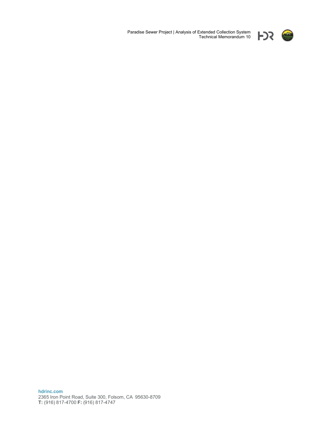

Paradise Sewer Project | Analysis of Extended Collection System Technical Memorandum 10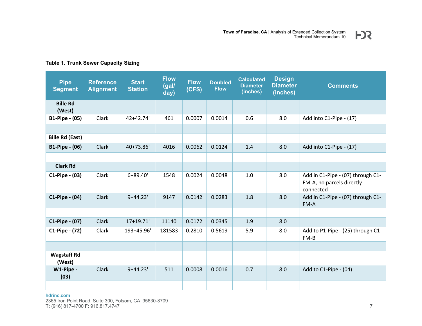| <b>Pipe</b><br><b>Segment</b> | <b>Reference</b><br><b>Alignment</b> | <b>Start</b><br><b>Station</b> | <b>Flow</b><br>(gal/<br>day) | <b>Flow</b><br>(CFS) | <b>Doubled</b><br><b>Flow</b> | <b>Calculated</b><br><b>Diameter</b><br>(inches) | <b>Design</b><br><b>Diameter</b><br>(inches) | <b>Comments</b>                                                             |
|-------------------------------|--------------------------------------|--------------------------------|------------------------------|----------------------|-------------------------------|--------------------------------------------------|----------------------------------------------|-----------------------------------------------------------------------------|
| <b>Bille Rd</b><br>(West)     |                                      |                                |                              |                      |                               |                                                  |                                              |                                                                             |
| <b>B1-Pipe - (05)</b>         | Clark                                | 42+42.74'                      | 461                          | 0.0007               | 0.0014                        | 0.6                                              | 8.0                                          | Add into C1-Pipe - (17)                                                     |
|                               |                                      |                                |                              |                      |                               |                                                  |                                              |                                                                             |
| <b>Bille Rd (East)</b>        |                                      |                                |                              |                      |                               |                                                  |                                              |                                                                             |
| <b>B1-Pipe - (06)</b>         | Clark                                | 40+73.86'                      | 4016                         | 0.0062               | 0.0124                        | 1.4                                              | 8.0                                          | Add into C1-Pipe - (17)                                                     |
|                               |                                      |                                |                              |                      |                               |                                                  |                                              |                                                                             |
| <b>Clark Rd</b>               |                                      |                                |                              |                      |                               |                                                  |                                              |                                                                             |
| C1-Pipe - (03)                | Clark                                | 6+89.40'                       | 1548                         | 0.0024               | 0.0048                        | 1.0                                              | 8.0                                          | Add in C1-Pipe - (07) through C1-<br>FM-A, no parcels directly<br>connected |
| $C1-Pipe - (04)$              | Clark                                | $9+44.23'$                     | 9147                         | 0.0142               | 0.0283                        | 1.8                                              | 8.0                                          | Add in C1-Pipe - (07) through C1-<br>FM-A                                   |
|                               |                                      |                                |                              |                      |                               |                                                  |                                              |                                                                             |
| C1-Pipe - (07)                | Clark                                | 17+19.71'                      | 11140                        | 0.0172               | 0.0345                        | 1.9                                              | 8.0                                          |                                                                             |
| C1-Pipe - (72)                | Clark                                | 193+45.96'                     | 181583                       | 0.2810               | 0.5619                        | 5.9                                              | 8.0                                          | Add to P1-Pipe - (25) through C1-<br>FM-B                                   |
|                               |                                      |                                |                              |                      |                               |                                                  |                                              |                                                                             |
| <b>Wagstaff Rd</b><br>(West)  |                                      |                                |                              |                      |                               |                                                  |                                              |                                                                             |
| W1-Pipe -<br>(03)             | Clark                                | $9+44.23'$                     | 511                          | 0.0008               | 0.0016                        | 0.7                                              | 8.0                                          | Add to C1-Pipe - (04)                                                       |
|                               |                                      |                                |                              |                      |                               |                                                  |                                              |                                                                             |

#### **Table 1. Trunk Sewer Capacity Sizing**

**hdrinc.com**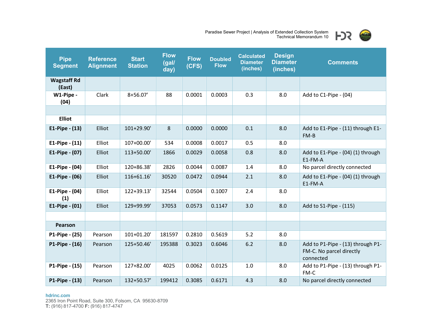

| <b>Pipe</b><br><b>Segment</b> | <b>Reference</b><br><b>Alignment</b> | <b>Start</b><br><b>Station</b> | <b>Flow</b><br>(gal/<br>day) | <b>Flow</b><br>(CFS) | <b>Doubled</b><br><b>Flow</b> | <b>Calculated</b><br><b>Diameter</b><br>(inches) | <b>Design</b><br><b>Diameter</b><br>(inches) | <b>Comments</b>                                                            |  |
|-------------------------------|--------------------------------------|--------------------------------|------------------------------|----------------------|-------------------------------|--------------------------------------------------|----------------------------------------------|----------------------------------------------------------------------------|--|
| <b>Wagstaff Rd</b><br>(East)  |                                      |                                |                              |                      |                               |                                                  |                                              |                                                                            |  |
| W1-Pipe -<br>(04)             | Clark                                | 8+56.07'                       | 88                           | 0.0001               | 0.0003                        | 0.3                                              | 8.0                                          | Add to C1-Pipe - (04)                                                      |  |
|                               |                                      |                                |                              |                      |                               |                                                  |                                              |                                                                            |  |
| <b>Elliot</b>                 |                                      |                                |                              |                      |                               |                                                  |                                              |                                                                            |  |
| $E1-Pipe - (13)$              | Elliot                               | 101+29.90'                     | 8                            | 0.0000               | 0.0000                        | 0.1                                              | 8.0                                          | Add to E1-Pipe - (11) through E1-<br>$FM-B$                                |  |
| $E1-Pipe - (11)$              | Elliot                               | 107+00.00'                     | 534                          | 0.0008               | 0.0017                        | 0.5                                              | 8.0                                          |                                                                            |  |
| E1-Pipe - (07)                | Elliot                               | 113+50.00'                     | 1866                         | 0.0029               | 0.0058                        | 0.8                                              | 8.0                                          | Add to E1-Pipe - (04) (1) through<br>E1-FM-A                               |  |
| $E1-Pipe - (04)$              | Elliot                               | 120+86.38'                     | 2826                         | 0.0044               | 0.0087                        | 1.4                                              | 8.0                                          | No parcel directly connected                                               |  |
| E1-Pipe $- (06)$              | Elliot                               | 116+61.16'                     | 30520                        | 0.0472               | 0.0944                        | 2.1                                              | 8.0                                          | Add to E1-Pipe - (04) (1) through<br>E1-FM-A                               |  |
| E1-Pipe - (04)<br>(1)         | Elliot                               | 122+39.13'                     | 32544                        | 0.0504               | 0.1007                        | 2.4                                              | 8.0                                          |                                                                            |  |
| $E1-Pipe - (01)$              | Elliot                               | 129+99.99'                     | 37053                        | 0.0573               | 0.1147                        | 3.0                                              | 8.0                                          | Add to S1-Pipe - (115)                                                     |  |
|                               |                                      |                                |                              |                      |                               |                                                  |                                              |                                                                            |  |
| Pearson                       |                                      |                                |                              |                      |                               |                                                  |                                              |                                                                            |  |
| P1-Pipe - (25)                | Pearson                              | 101+01.20'                     | 181597                       | 0.2810               | 0.5619                        | 5.2                                              | 8.0                                          |                                                                            |  |
| P1-Pipe - (16)                | Pearson                              | 125+50.46'                     | 195388                       | 0.3023               | 0.6046                        | 6.2                                              | 8.0                                          | Add to P1-Pipe - (13) through P1-<br>FM-C. No parcel directly<br>connected |  |
| P1-Pipe - (15)                | Pearson                              | 127+82.00'                     | 4025                         | 0.0062               | 0.0125                        | 1.0                                              | 8.0                                          | Add to P1-Pipe - (13) through P1-<br>FM-C                                  |  |
| P1-Pipe - (13)                | Pearson                              | 132+50.57'                     | 199412                       | 0.3085               | 0.6171                        | 4.3                                              | 8.0                                          | No parcel directly connected                                               |  |

#### **hdrinc.com**

2365 Iron Point Road, Suite 300, Folsom, CA 95630-8709 **T:** (916) 817-4700 **F:** (916) 817-4747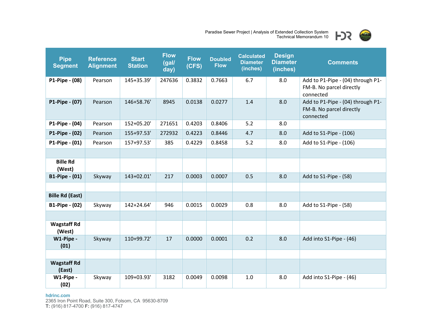

| <b>Pipe</b><br><b>Segment</b> | <b>Reference</b><br><b>Alignment</b> | <b>Start</b><br><b>Station</b> | <b>Flow</b><br>(gal/<br>day) | <b>Flow</b><br>(CFS) | <b>Doubled</b><br><b>Flow</b> | <b>Calculated</b><br><b>Diameter</b><br>(inches) | <b>Design</b><br><b>Diameter</b><br>(inches) | <b>Comments</b>                                                            |
|-------------------------------|--------------------------------------|--------------------------------|------------------------------|----------------------|-------------------------------|--------------------------------------------------|----------------------------------------------|----------------------------------------------------------------------------|
| P1-Pipe - (08)                | Pearson                              | 145+35.39'                     | 247636                       | 0.3832               | 0.7663                        | 6.7                                              | 8.0                                          | Add to P1-Pipe - (04) through P1-<br>FM-B. No parcel directly<br>connected |
| P1-Pipe - (07)                | Pearson                              | 146+58.76'                     | 8945                         | 0.0138               | 0.0277                        | 1.4                                              | 8.0                                          | Add to P1-Pipe - (04) through P1-<br>FM-B. No parcel directly<br>connected |
| P1-Pipe - (04)                | Pearson                              | 152+05.20'                     | 271651                       | 0.4203               | 0.8406                        | 5.2                                              | 8.0                                          |                                                                            |
| P1-Pipe - (02)                | Pearson                              | 155+97.53'                     | 272932                       | 0.4223               | 0.8446                        | 4.7                                              | 8.0                                          | Add to S1-Pipe - (106)                                                     |
| P1-Pipe - (01)                | Pearson                              | 157+97.53'                     | 385                          | 0.4229               | 0.8458                        | 5.2                                              | 8.0                                          | Add to S1-Pipe - (106)                                                     |
|                               |                                      |                                |                              |                      |                               |                                                  |                                              |                                                                            |
| <b>Bille Rd</b><br>(West)     |                                      |                                |                              |                      |                               |                                                  |                                              |                                                                            |
| <b>B1-Pipe - (01)</b>         | Skyway                               | 143+02.01'                     | 217                          | 0.0003               | 0.0007                        | 0.5                                              | 8.0                                          | Add to S1-Pipe - (58)                                                      |
|                               |                                      |                                |                              |                      |                               |                                                  |                                              |                                                                            |
| <b>Bille Rd (East)</b>        |                                      |                                |                              |                      |                               |                                                  |                                              |                                                                            |
| <b>B1-Pipe - (02)</b>         | Skyway                               | 142+24.64'                     | 946                          | 0.0015               | 0.0029                        | 0.8                                              | 8.0                                          | Add to S1-Pipe - (58)                                                      |
|                               |                                      |                                |                              |                      |                               |                                                  |                                              |                                                                            |
| <b>Wagstaff Rd</b><br>(West)  |                                      |                                |                              |                      |                               |                                                  |                                              |                                                                            |
| W1-Pipe -<br>(01)             | Skyway                               | 110+99.72'                     | 17                           | 0.0000               | 0.0001                        | 0.2                                              | 8.0                                          | Add into S1-Pipe - (46)                                                    |
|                               |                                      |                                |                              |                      |                               |                                                  |                                              |                                                                            |
| <b>Wagstaff Rd</b><br>(East)  |                                      |                                |                              |                      |                               |                                                  |                                              |                                                                            |
| W1-Pipe -<br>(02)             | Skyway                               | 109+03.93'                     | 3182                         | 0.0049               | 0.0098                        | 1.0                                              | 8.0                                          | Add into S1-Pipe - (46)                                                    |

#### **hdrinc.com**

2365 Iron Point Road, Suite 300, Folsom, CA 95630-8709 **T:** (916) 817-4700 **F:** (916) 817-4747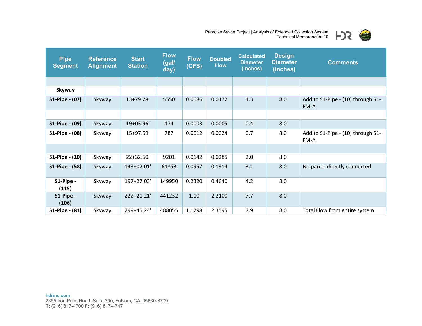

| <b>Pipe</b><br><b>Segment</b> | <b>Reference</b><br><b>Alignment</b> | <b>Start</b><br><b>Station</b> | <b>Flow</b><br>(gal/<br>day) | <b>Flow</b><br>(CFS) | <b>Doubled</b><br><b>Flow</b> | <b>Calculated</b><br><b>Diameter</b><br>(inches) | <b>Design</b><br><b>Diameter</b><br>(inches) | <b>Comments</b>                           |  |
|-------------------------------|--------------------------------------|--------------------------------|------------------------------|----------------------|-------------------------------|--------------------------------------------------|----------------------------------------------|-------------------------------------------|--|
|                               |                                      |                                |                              |                      |                               |                                                  |                                              |                                           |  |
| Skyway                        |                                      |                                |                              |                      |                               |                                                  |                                              |                                           |  |
| S1-Pipe - (07)                | Skyway                               | 13+79.78'                      | 5550                         | 0.0086               | 0.0172                        | 1.3                                              | 8.0                                          | Add to S1-Pipe - (10) through S1-<br>FM-A |  |
|                               |                                      |                                |                              |                      |                               |                                                  |                                              |                                           |  |
| S1-Pipe - (09)                | Skyway                               | 19+03.96'                      | 174                          | 0.0003               | 0.0005                        | 0.4                                              | 8.0                                          |                                           |  |
| S1-Pipe - (08)                | Skyway                               | 15+97.59'                      | 787                          | 0.0012               | 0.0024                        | 0.7                                              | 8.0                                          | Add to S1-Pipe - (10) through S1-<br>FM-A |  |
|                               |                                      |                                |                              |                      |                               |                                                  |                                              |                                           |  |
| S1-Pipe - (10)                | Skyway                               | 22+32.50'                      | 9201                         | 0.0142               | 0.0285                        | 2.0                                              | 8.0                                          |                                           |  |
| S1-Pipe - (58)                | Skyway                               | 143+02.01'                     | 61853                        | 0.0957               | 0.1914                        | 3.1                                              | 8.0                                          | No parcel directly connected              |  |
| S1-Pipe -<br>(115)            | Skyway                               | 197+27.03'                     | 149950                       | 0.2320               | 0.4640                        | 4.2                                              | 8.0                                          |                                           |  |
| S1-Pipe -<br>(106)            | Skyway                               | 222+21.21'                     | 441232                       | 1.10                 | 2.2100                        | 7.7                                              | 8.0                                          |                                           |  |
| S1-Pipe - (81)                | Skyway                               | 299+45.24'                     | 488055                       | 1.1798               | 2.3595                        | 7.9                                              | 8.0                                          | Total Flow from entire system             |  |